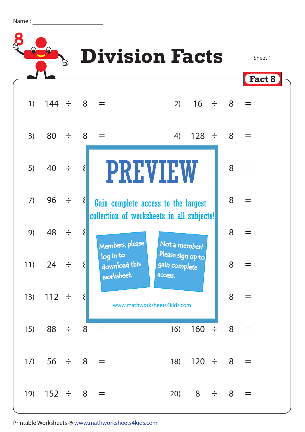